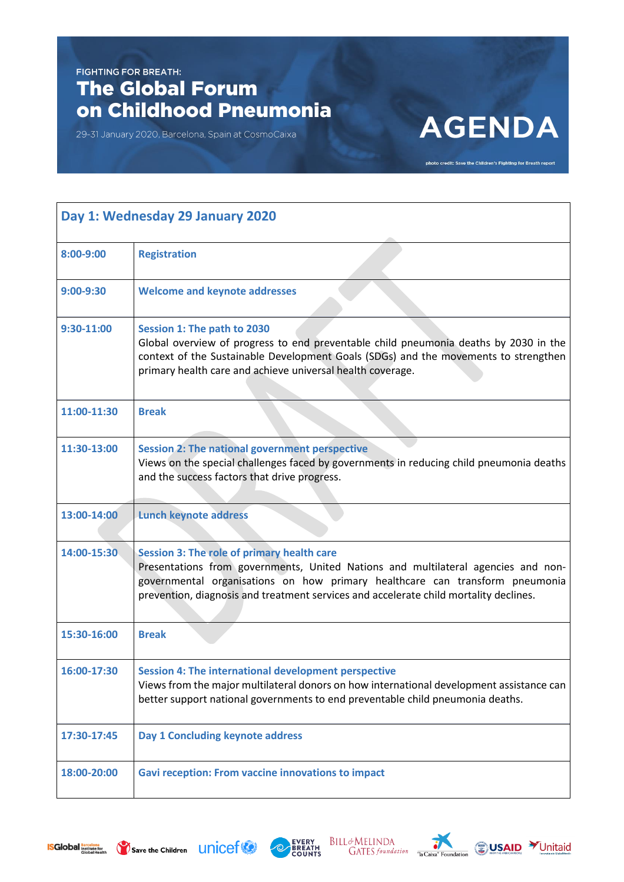## **FIGHTING FOR BREATH:** The Global Forum on Childhood Pneumonia

29-31 January 2020, Barcelona, Spain at CosmoCaixa

## **AGENDA**

photo credit: Save the Children's Fighting for Breath report

| Day 1: Wednesday 29 January 2020 |                                                                                                                                                                                                                                                                                                                 |  |
|----------------------------------|-----------------------------------------------------------------------------------------------------------------------------------------------------------------------------------------------------------------------------------------------------------------------------------------------------------------|--|
| 8:00-9:00                        | <b>Registration</b>                                                                                                                                                                                                                                                                                             |  |
| $9:00 - 9:30$                    | <b>Welcome and keynote addresses</b>                                                                                                                                                                                                                                                                            |  |
| 9:30-11:00                       | Session 1: The path to 2030<br>Global overview of progress to end preventable child pneumonia deaths by 2030 in the<br>context of the Sustainable Development Goals (SDGs) and the movements to strengthen<br>primary health care and achieve universal health coverage.                                        |  |
| 11:00-11:30                      | <b>Break</b>                                                                                                                                                                                                                                                                                                    |  |
| 11:30-13:00                      | <b>Session 2: The national government perspective</b><br>Views on the special challenges faced by governments in reducing child pneumonia deaths<br>and the success factors that drive progress.                                                                                                                |  |
| 13:00-14:00                      | <b>Lunch keynote address</b>                                                                                                                                                                                                                                                                                    |  |
| 14:00-15:30                      | <b>Session 3: The role of primary health care</b><br>Presentations from governments, United Nations and multilateral agencies and non-<br>governmental organisations on how primary healthcare can transform pneumonia<br>prevention, diagnosis and treatment services and accelerate child mortality declines. |  |
| 15:30-16:00                      | <b>Break</b>                                                                                                                                                                                                                                                                                                    |  |
| 16:00-17:30                      | <b>Session 4: The international development perspective</b><br>Views from the major multilateral donors on how international development assistance can<br>better support national governments to end preventable child pneumonia deaths.                                                                       |  |
| 17:30-17:45                      | Day 1 Concluding keynote address                                                                                                                                                                                                                                                                                |  |
| 18:00-20:00                      | <b>Gavi reception: From vaccine innovations to impact</b>                                                                                                                                                                                                                                                       |  |